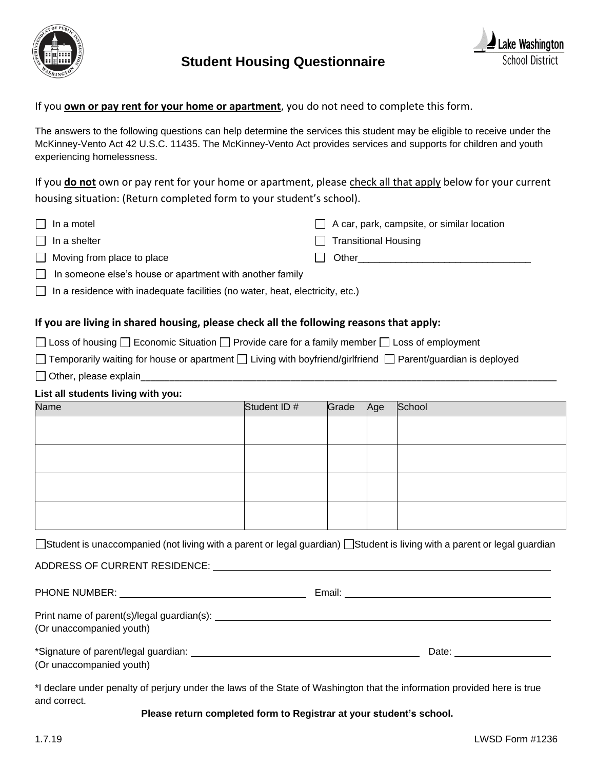

# **Student Housing Questionnaire**



## If you **own or pay rent for your home or apartment**, you do not need to complete this form.

The answers to the following questions can help determine the services this student may be eligible to receive under the McKinney-Vento Act 42 U.S.C. 11435. The McKinney-Vento Act provides services and supports for children and youth experiencing homelessness.

If you **do not** own or pay rent for your home or apartment, please check all that apply below for your current housing situation: (Return completed form to your student's school).

| $\Box$ In a motel                                                                    |  | $\Box$ A car, park, campsite, or similar location |  |  |  |
|--------------------------------------------------------------------------------------|--|---------------------------------------------------|--|--|--|
| $\Box$ In a shelter                                                                  |  | $\Box$ Transitional Housing                       |  |  |  |
| $\Box$ Moving from place to place                                                    |  | Other                                             |  |  |  |
| $\Box$ In someone else's house or apartment with another family                      |  |                                                   |  |  |  |
| $\Box$ In a residence with inadequate facilities (no water, heat, electricity, etc.) |  |                                                   |  |  |  |

#### **If you are living in shared housing, please check all the following reasons that apply:**

 $\Box$  Loss of housing  $\Box$  Economic Situation  $\Box$  Provide care for a family member  $\Box$  Loss of employment

|  | Temporarily waiting for house or apartment $\Box$ Living with boyfriend/girlfriend $\Box$ Parent/guardian is deployed |  |  |  |  |
|--|-----------------------------------------------------------------------------------------------------------------------|--|--|--|--|
|  |                                                                                                                       |  |  |  |  |

 $\Box$  Other, please explain

#### **List all students living with you:**

| $\sim$<br><b>Name</b> | Student ID# | Grade Age | School |
|-----------------------|-------------|-----------|--------|
|                       |             |           |        |
|                       |             |           |        |
|                       |             |           |        |
|                       |             |           |        |
|                       |             |           |        |
|                       |             |           |        |
|                       |             |           |        |
|                       |             |           |        |

□Student is unaccompanied (not living with a parent or legal guardian) □Student is living with a parent or legal guardian

ADDRESS OF CURRENT RESIDENCE:

PHONE NUMBER: Email:

Print name of parent(s)/legal guardian(s): (Or unaccompanied youth) \*Signature of parent/legal guardian: Date:

(Or unaccompanied youth)

\*I declare under penalty of perjury under the laws of the State of Washington that the information provided here is true and correct.

#### **Please return completed form to Registrar at your student's school.**